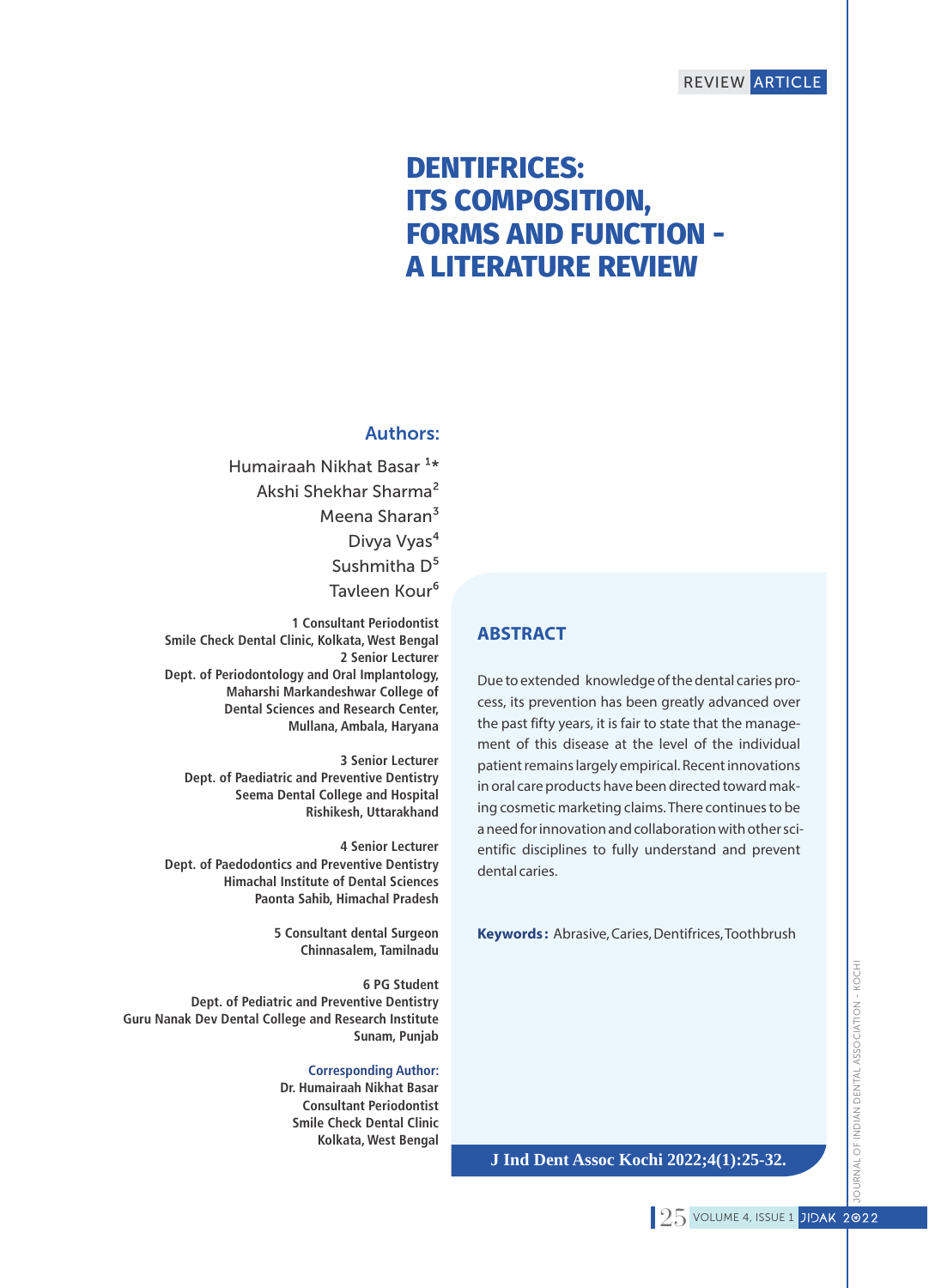# **DENTIFRICES: ITS COMPOSITION, FORMS AND FUNCTION - A LITERATURE REVIEW**

# Authors:

Humairaah Nikhat Basar<sup>1\*</sup> Akshi Shekhar Sharma² Meena Sharan<sup>3</sup> Divya Vyas<sup>4</sup> Sushmitha D<sup>5</sup> Tavleen Kour<sup>6</sup>

**1 Consultant Periodontist Smile Check Dental Clinic, Kolkata, West Bengal 2 Senior Lecturer Dept. of Periodontology and Oral Implantology, Maharshi Markandeshwar College of Dental Sciences and Research Center, Mullana, Ambala, Haryana**

**3 Senior Lecturer Dept. of Paediatric and Preventive Dentistry Seema Dental College and Hospital Rishikesh, Uttarakhand**

**4 Senior Lecturer Dept. of Paedodontics and Preventive Dentistry Himachal Institute of Dental Sciences Paonta Sahib, Himachal Pradesh**

> **5 Consultant dental Surgeon Chinnasalem, Tamilnadu**

**6 PG Student Dept. of Pediatric and Preventive Dentistry Guru Nanak Dev Dental College and Research Institute Sunam, Punjab**

#### **Corresponding Author:**

**Dr. Humairaah Nikhat Basar Consultant Periodontist Smile Check Dental Clinic Kolkata, West Bengal**

# **ABSTRACT**

Due to extended knowledge of the dental caries process, its prevention has been greatly advanced over the past fifty years, it is fair to state that the management of this disease at the level of the individual patient remains largely empirical. Recent innovations in oral care products have been directed toward making cosmetic marketing claims. There continues to be a need for innovation and collaboration with other scientific disciplines to fully understand and prevent dental caries.

**Keywords :** Abrasive, Caries, Dentifrices, Toothbrush

**J Ind Dent Assoc Kochi 2022;4(1):25-32.**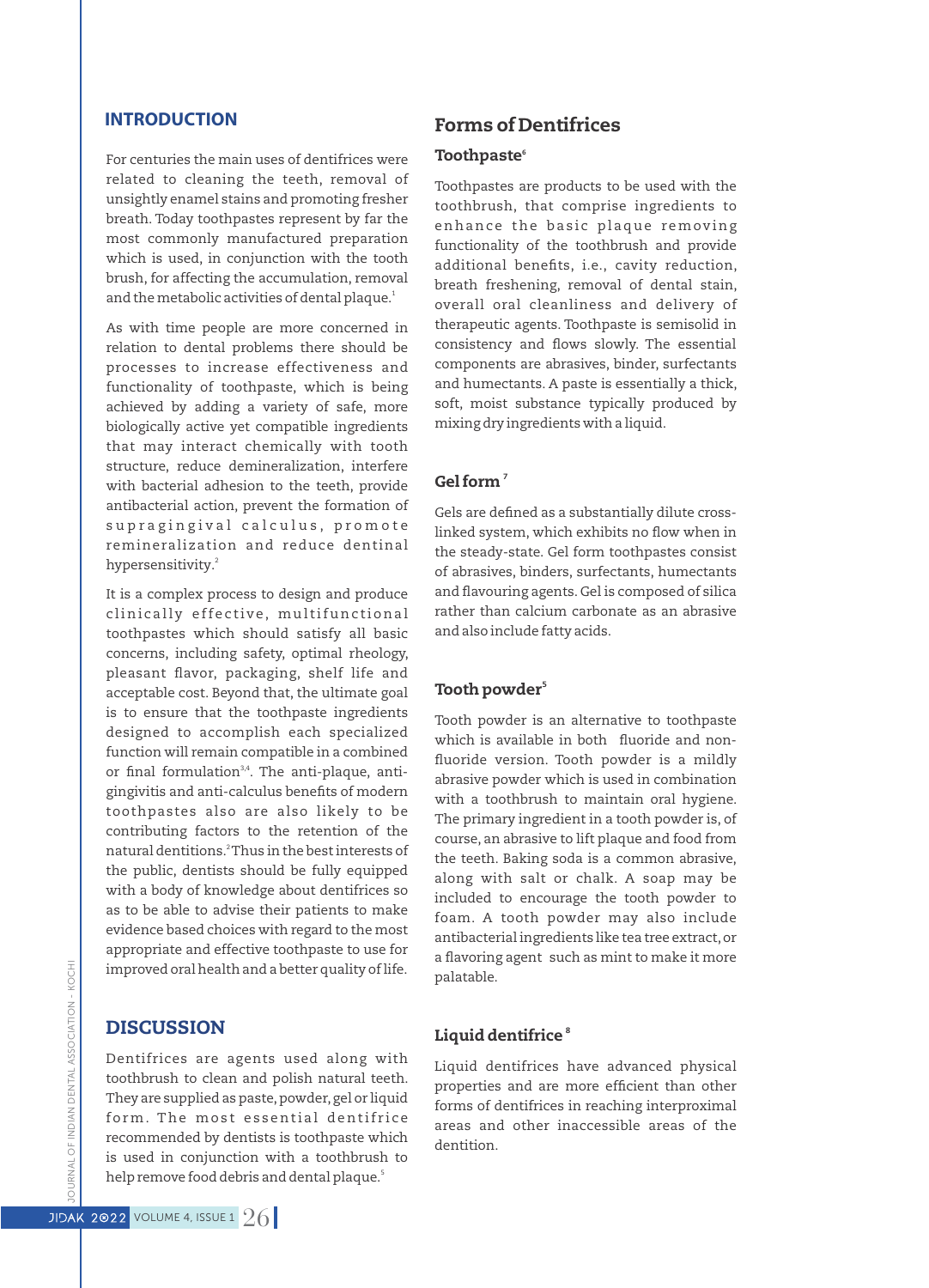# **INTRODUCTION**

For centuries the main uses of dentifrices were related to cleaning the teeth, removal of unsightly enamel stains and promoting fresher breath. Today toothpastes represent by far the most commonly manufactured preparation which is used, in conjunction with the tooth brush, for affecting the accumulation, removal and the metabolic activities of dental plaque.'

As with time people are more concerned in relation to dental problems there should be processes to increase effectiveness and functionality of toothpaste, which is being achieved by adding a variety of safe, more biologically active yet compatible ingredients that may interact chemically with tooth structure, reduce demineralization, interfere with bacterial adhesion to the teeth, provide antibacterial action, prevent the formation of su pragingival calculus, promote remineralization and reduce dentinal hypersensitivity.<sup>2</sup>

It is a complex process to design and produce clinically effective, multifunctional toothpastes which should satisfy all basic concerns, including safety, optimal rheology, pleasant flavor, packaging, shelf life and acceptable cost. Beyond that, the ultimate goal is to ensure that the toothpaste ingredients designed to accomplish each specialized function will remain compatible in a combined or final formulation<sup>3,4</sup>. The anti-plaque, antigingivitis and anti-calculus benefits of modern toothpastes also are also likely to be contributing factors to the retention of the natural dentitions.<sup>2</sup> Thus in the best interests of the public, dentists should be fully equipped with a body of knowledge about dentifrices so as to be able to advise their patients to make evidence based choices with regard to the most appropriate and effective toothpaste to use for improved oral health and a better quality of life.

# DISCUSSION

Dentifrices are agents used along with toothbrush to clean and polish natural teeth. They are supplied as paste, powder, gel or liquid form. The most essential dentifrice recommended by dentists is toothpaste which is used in conjunction with a toothbrush to help remove food debris and dental plaque.<sup>5</sup>

# Forms of Dentifrices

### Toothpaste<sup>®</sup>

Toothpastes are products to be used with the toothbrush, that comprise ingredients to enhance the basic plaque removing functionality of the toothbrush and provide additional benefits, i.e., cavity reduction, breath freshening, removal of dental stain, overall oral cleanliness and delivery of therapeutic agents. Toothpaste is semisolid in consistency and flows slowly. The essential components are abrasives, binder, surfectants and humectants. A paste is essentially a thick, soft, moist substance typically produced by mixing dry ingredients with a liquid.

### Gel form<sup>7</sup>

Gels are defined as a substantially dilute crosslinked system, which exhibits no flow when in the steady-state. Gel form toothpastes consist of abrasives, binders, surfectants, humectants and flavouring agents. Gel is composed of silica rather than calcium carbonate as an abrasive and also include fatty acids.

### Tooth powder<sup>5</sup>

Tooth powder is an alternative to toothpaste which is available in both fluoride and nonfluoride version. Tooth powder is a mildly abrasive powder which is used in combination with a toothbrush to maintain oral hygiene. The primary ingredient in a tooth powder is, of course, an abrasive to lift plaque and food from the teeth. Baking soda is a common abrasive, along with salt or chalk. A soap may be included to encourage the tooth powder to foam. A tooth powder may also include antibacterial ingredients like tea tree extract,or a flavoring agent such as mint to make it more palatable.

### Liquid dentifrice  $^{\circ}$

Liquid dentifrices have advanced physical properties and are more efficient than other forms of dentifrices in reaching interproximal areas and other inaccessible areas of the dentition.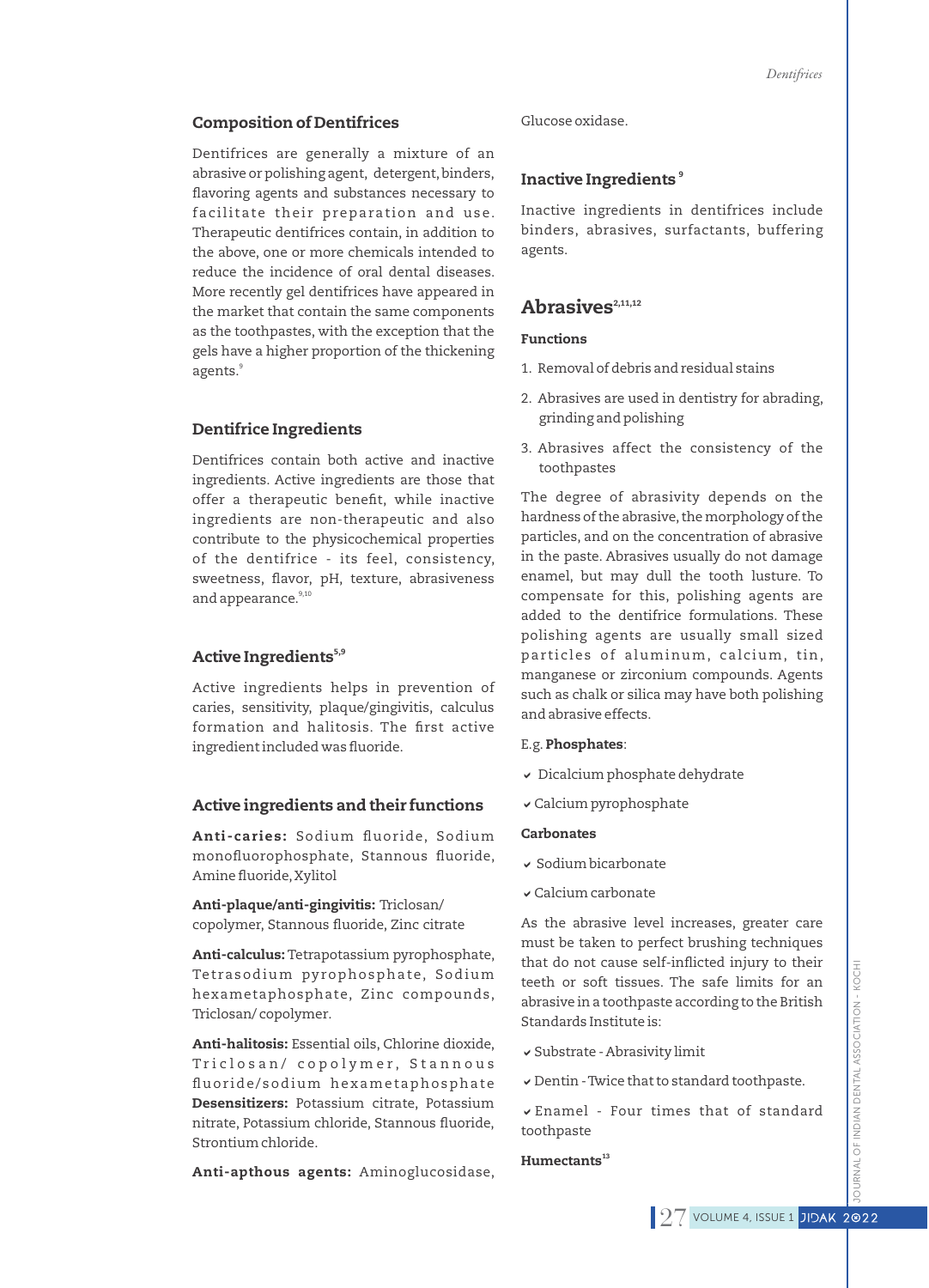### Composition of Dentifrices

Dentifrices are generally a mixture of an abrasive or polishing agent, detergent,binders, flavoring agents and substances necessary to facilitate their preparation and use. Therapeutic dentifrices contain, in addition to the above, one or more chemicals intended to reduce the incidence of oral dental diseases. More recently gel dentifrices have appeared in the market that contain the same components as the toothpastes, with the exception that the gels have a higher proportion of the thickening agents.<sup>9</sup>

### Dentifrice Ingredients

Dentifrices contain both active and inactive ingredients. Active ingredients are those that offer a therapeutic benefit, while inactive ingredients are non-therapeutic and also contribute to the physicochemical properties of the dentifrice - its feel, consistency, sweetness, flavor, pH, texture, abrasiveness and appearance.<sup>9,10</sup>

# Active Ingredients<sup>5,9</sup>

Active ingredients helps in prevention of caries, sensitivity, plaque/gingivitis, calculus formation and halitosis. The first active ingredient included was fluoride.

#### Active ingredients and their functions

Anti-caries: Sodium fluoride, Sodium monofluorophosphate, Stannous fluoride, Amine fluoride, Xylitol

Anti-plaque/anti-gingivitis: Triclosan/ copolymer, Stannous fluoride, Zinc citrate

Anti-calculus: Tetrapotassium pyrophosphate, Tetrasodium pyrophosphate, Sodium hexametaphosphate, Zinc compounds, Triclosan/ copolymer.

Anti-halitosis: Essential oils, Chlorine dioxide, Triclosan/ copolymer, Stannous fluoride/ sodium hexametaphosphate Desensitizers: Potassium citrate, Potassium nitrate, Potassium chloride, Stannous fluoride, Strontium chloride.

Anti-apthous agents: Aminoglucosidase,

Glucose oxidase.

# 9 Inactive Ingredients

Inactive ingredients in dentifrices include binders, abrasives, surfactants, buffering agents.

# Abrasives<sup>2,11,12</sup>

#### Functions

- 1. Removal of debris and residual stains
- 2. Abrasives are used in dentistry for abrading, grinding and polishing
- 3. Abrasives affect the consistency of the toothpastes

The degree of abrasivity depends on the hardness of the abrasive, the morphology of the particles, and on the concentration of abrasive in the paste. Abrasives usually do not damage enamel, but may dull the tooth lusture. To compensate for this, polishing agents are added to the dentifrice formulations. These polishing agents are usually small sized particles of aluminum, calcium, tin, manganese or zirconium compounds. Agents such as chalk or silica may have both polishing and abrasive effects.

#### E.g. Phosphates:

- $\overline{\phantom{a}}$  Dicalcium phosphate dehydrate
- v Calcium pyrophosphate

#### Carbonates

- $\overline{\mathsf{v}}$  Sodium bicarbonate
- $\checkmark$  Calcium carbonate

As the abrasive level increases, greater care must be taken to perfect brushing techniques that do not cause self-inflicted injury to their teeth or soft tissues. The safe limits for an abrasive in a toothpaste according to the British Standards Institute is:

- v Substrate Abrasivity limit
- $\checkmark$  Dentin Twice that to standard toothpaste.

 $\overline{\triangledown}$  Enamel - Four times that of standard toothpaste

### $H$ umectants $^{13}$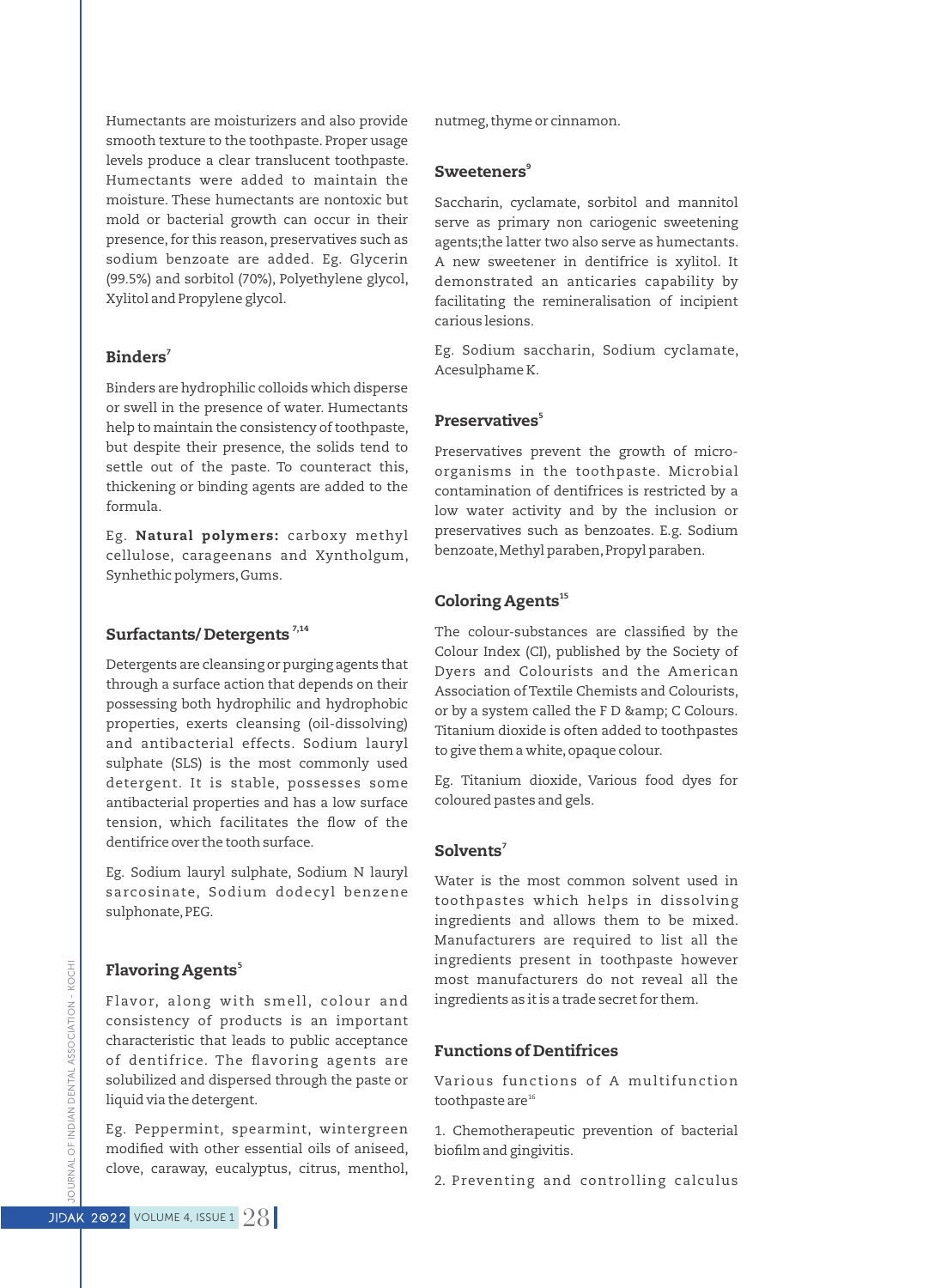Humectants are moisturizers and also provide smooth texture to the toothpaste. Proper usage levels produce a clear translucent toothpaste. Humectants were added to maintain the moisture. These humectants are nontoxic but mold or bacterial growth can occur in their presence, for this reason, preservatives such as sodium benzoate are added. Eg. Glycerin (99.5%) and sorbitol (70%), Polyethylene glycol, Xylitol and Propylene glycol.

# Binders $^7$

Binders are hydrophilic colloids which disperse or swell in the presence of water. Humectants help to maintain the consistency of toothpaste, but despite their presence, the solids tend to settle out of the paste. To counteract this, thickening or binding agents are added to the formula.

Eg. Natural polymers: carboxy methyl cellulose, carageenans and Xyntholgum, Synhethic polymers,Gums.

# Surfactants/Detergents<sup>7,14</sup>

Detergents are cleansing or purging agents that through a surface action that depends on their possessing both hydrophilic and hydrophobic properties, exerts cleansing (oil-dissolving) and antibacterial effects. Sodium lauryl sulphate (SLS) is the most commonly used detergent. It is stable, possesses some antibacterial properties and has a low surface tension, which facilitates the flow of the dentifrice over the tooth surface.

Eg. Sodium lauryl sulphate, Sodium N lauryl sarcosinate, Sodium dodecyl benzene sulphonate, PEG.

### 5 Flavoring Agents

Flavor, along with smell, colour and consistency of products is an important characteristic that leads to public acceptance of dentifrice. The flavoring agents are solubilized and dispersed through the paste or liquid via the detergent.

Eg. Peppermint, spearmint, wintergreen modified with other essential oils of aniseed, clove, caraway, eucalyptus, citrus, menthol, nutmeg, thyme or cinnamon.

### ${\bf Sweeteners}^9$

Saccharin, cyclamate, sorbitol and mannitol serve as primary non cariogenic sweetening agents;the latter two also serve as humectants. A new sweetener in dentifrice is xylitol. It demonstrated an anticaries capability by facilitating the remineralisation of incipient carious lesions.

Eg. Sodium saccharin, Sodium cyclamate, Acesulphame K.

# 5 Preservatives

Preservatives prevent the growth of microorganisms in the toothpaste. Microbial contamination of dentifrices is restricted by a low water activity and by the inclusion or preservatives such as benzoates. E.g. Sodium benzoate, Methyl paraben, Propyl paraben.

# Coloring Agents<sup>15</sup>

The colour-substances are classified by the Colour Index (CI), published by the Society of Dyers and Colourists and the American Association of Textile Chemists and Colourists, or by a system called the F D & amp; C Colours. Titanium dioxide is often added to toothpastes to give them a white, opaque colour.

Eg. Titanium dioxide, Various food dyes for coloured pastes and gels.

### $\mathbf S$ olvents $^7$

Water is the most common solvent used in toothpastes which helps in dissolving ingredients and allows them to be mixed. Manufacturers are required to list all the ingredients present in toothpaste however most manufacturers do not reveal all the ingredients as it is a trade secret for them.

#### Functions of Dentifrices

Various functions of A multifunction toothpaste are<sup>16</sup>

1. Chemotherapeutic prevention of bacterial biofilm and gingivitis.

2. Preventing and controlling calculus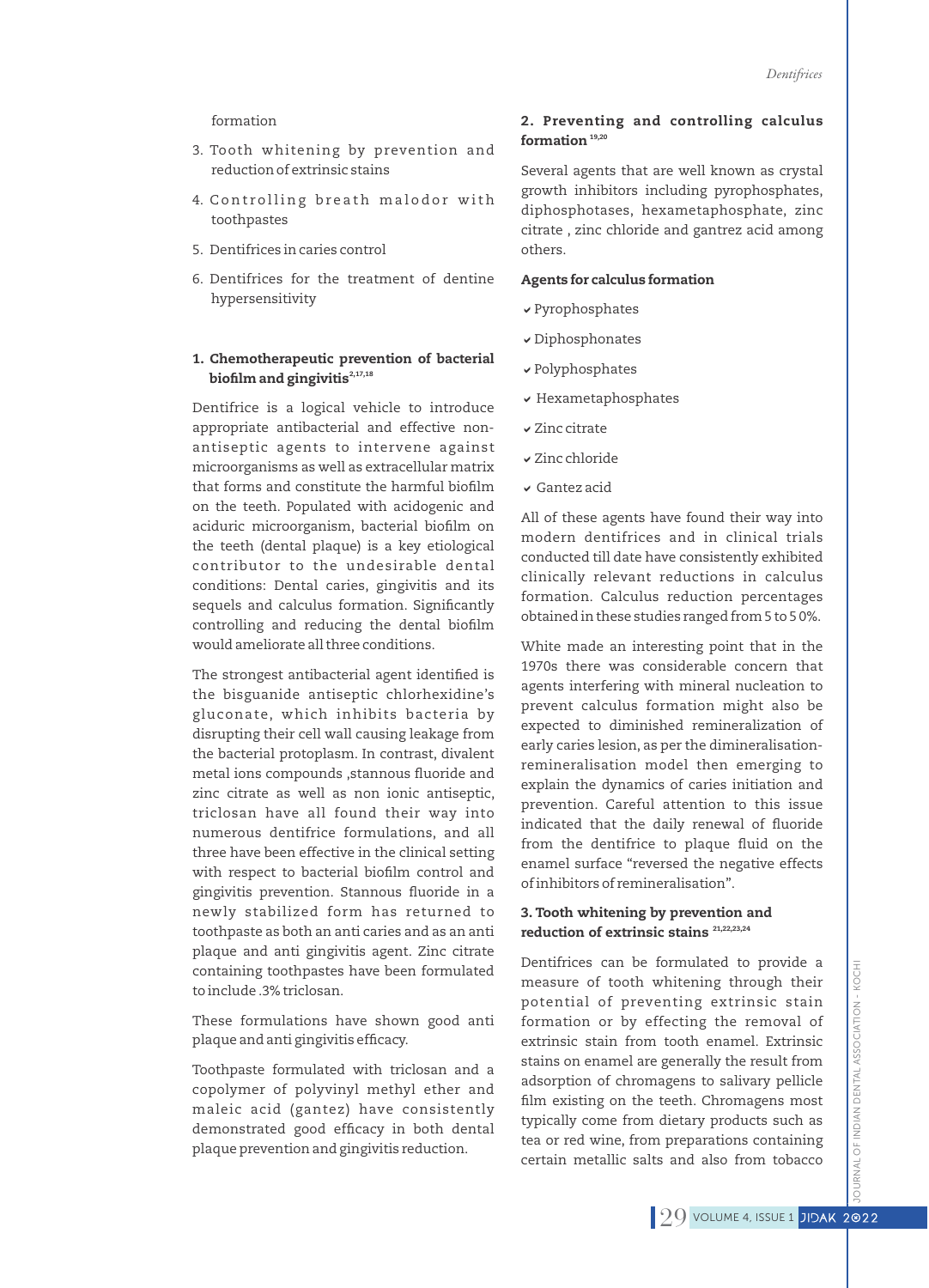#### formation

- 3. Tooth whitening by prevention and reduction of extrinsic stains
- 4. Controlling breath malodor with toothpastes
- 5. Dentifrices in caries control
- 6. Dentifrices for the treatment of dentine hypersensitivity

#### 1. Chemotherapeutic prevention of bacterial biofilm and gingivitis $2,17,18$

Dentifrice is a logical vehicle to introduce appropriate antibacterial and effective nonantiseptic agents to intervene against microorganisms as well as extracellular matrix that forms and constitute the harmful biofilm on the teeth. Populated with acidogenic and aciduric microorganism, bacterial biofilm on the teeth (dental plaque) is a key etiological contributor to the undesirable dental conditions: Dental caries, gingivitis and its sequels and calculus formation. Significantly controlling and reducing the dental biofilm would ameliorate all three conditions.

The strongest antibacterial agent identified is the bisguanide antiseptic chlorhexidine's gluconate, which inhibits bacteria by disrupting their cell wall causing leakage from the bacterial protoplasm. In contrast, divalent metal ions compounds ,stannous fluoride and zinc citrate as well as non ionic antiseptic, triclosan have all found their way into numerous dentifrice formulations, and all three have been effective in the clinical setting with respect to bacterial biofilm control and gingivitis prevention. Stannous fluoride in a newly stabilized form has returned to toothpaste as both an anti caries and as an anti plaque and anti gingivitis agent. Zinc citrate containing toothpastes have been formulated to include .3% triclosan.

These formulations have shown good anti plaque and anti gingivitis efficacy.

Toothpaste formulated with triclosan and a copolymer of polyvinyl methyl ether and maleic acid (gantez) have consistently demonstrated good efficacy in both dental plaque prevention and gingivitis reduction.

### 2. Preventing and controlling calculus formation  $19,20$

Several agents that are well known as crystal growth inhibitors including pyrophosphates, diphosphotases, hexametaphosphate, zinc citrate , zinc chloride and gantrez acid among others.

#### Agents for calculus formation

- $\vee$  Pyrophosphates
- $\checkmark$  Diphosphonates
- $\checkmark$  Polyphosphates
- $\overline{\phantom{a}}$  Hexametaphosphates
- $\checkmark$  Zinc citrate
- $\times$  Zinc chloride
- $\checkmark$  Gantez acid

All of these agents have found their way into modern dentifrices and in clinical trials conducted till date have consistently exhibited clinically relevant reductions in calculus formation. Calculus reduction percentages obtained in these studies ranged from 5 to 5 0%.

White made an interesting point that in the 1970s there was considerable concern that agents interfering with mineral nucleation to prevent calculus formation might also be expected to diminished remineralization of early caries lesion, as per the dimineralisationremineralisation model then emerging to explain the dynamics of caries initiation and prevention. Careful attention to this issue indicated that the daily renewal of fluoride from the dentifrice to plaque fluid on the enamel surface "reversed the negative effects of inhibitors of remineralisation".

#### 3. Tooth whitening by prevention and reduction of extrinsic stains  $21,22,23,24$

Dentifrices can be formulated to provide a measure of tooth whitening through their potential of preventing extrinsic stain formation or by effecting the removal of extrinsic stain from tooth enamel. Extrinsic stains on enamel are generally the result from adsorption of chromagens to salivary pellicle film existing on the teeth. Chromagens most typically come from dietary products such as tea or red wine, from preparations containing certain metallic salts and also from tobacco

KOCHI JOURNAL OF INDIAN DENTAL ASSOCIATION - KOCHI JRNAL OF INDIAN DENTAL ASSOCIATION -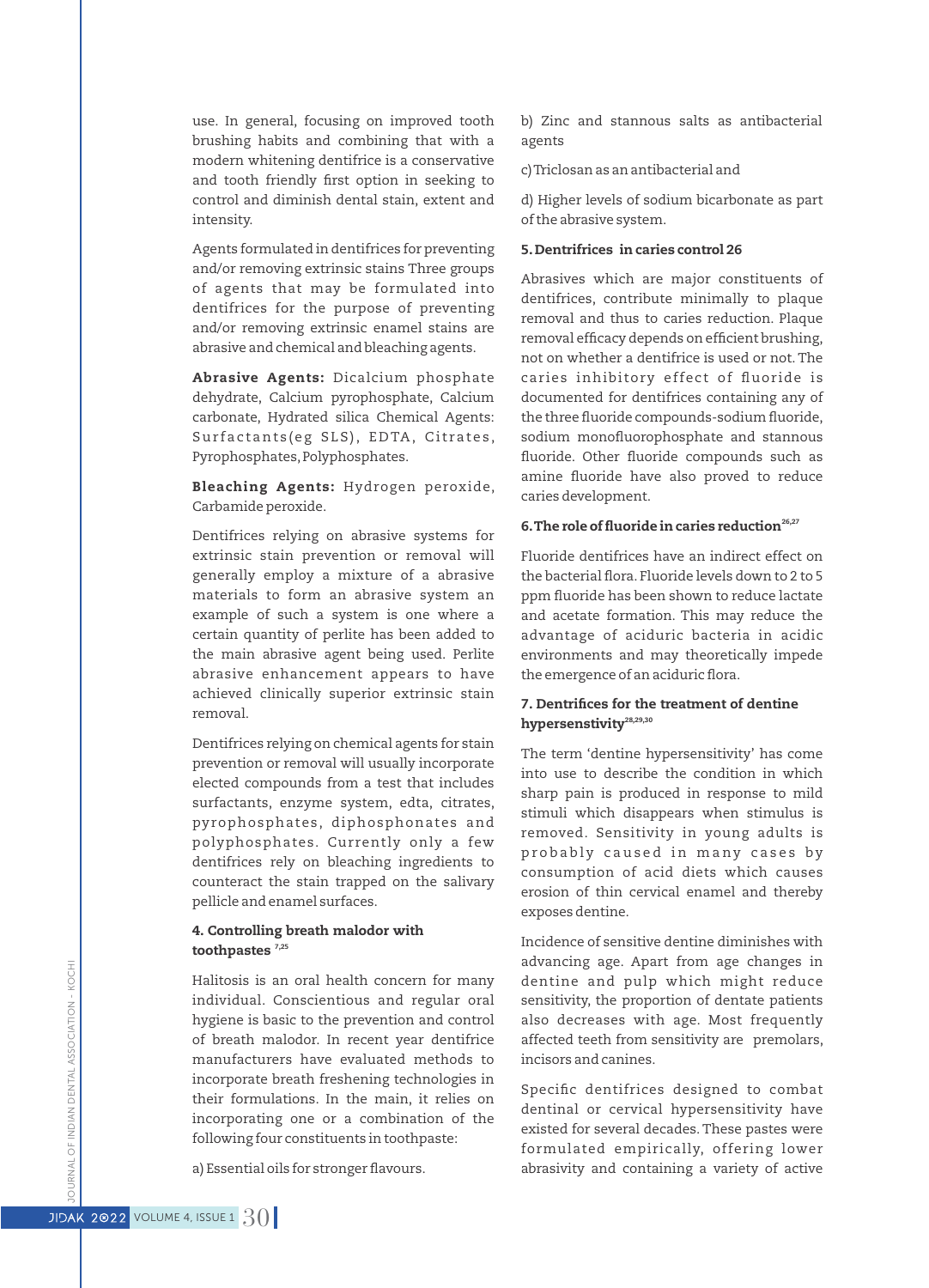use. In general, focusing on improved tooth brushing habits and combining that with a modern whitening dentifrice is a conservative and tooth friendly first option in seeking to control and diminish dental stain, extent and intensity.

Agents formulated in dentifrices for preventing and/or removing extrinsic stains Three groups of agents that may be formulated into dentifrices for the purpose of preventing and/or removing extrinsic enamel stains are abrasive and chemical and bleaching agents.

Abrasive Agents: Dicalcium phosphate dehydrate, Calcium pyrophosphate, Calcium carbonate, Hydrated silica Chemical Agents: Surfactants (eg SLS), EDTA, Citrates, Pyrophosphates, Polyphosphates.

Bleaching Agents: Hydrogen peroxide, Carbamide peroxide.

Dentifrices relying on abrasive systems for extrinsic stain prevention or removal will generally employ a mixture of a abrasive materials to form an abrasive system an example of such a system is one where a certain quantity of perlite has been added to the main abrasive agent being used. Perlite abrasive enhancement appears to have achieved clinically superior extrinsic stain removal.

Dentifrices relying on chemical agents for stain prevention or removal will usually incorporate elected compounds from a test that includes surfactants, enzyme system, edta, citrates, pyrophosphates, diphosphonates and polyphosphates. Currently only a few dentifrices rely on bleaching ingredients to counteract the stain trapped on the salivary pellicle and enamel surfaces.

### 4. Controlling breath malodor with toothpastes  $7,25$

Halitosis is an oral health concern for many individual. Conscientious and regular oral hygiene is basic to the prevention and control of breath malodor. In recent year dentifrice manufacturers have evaluated methods to incorporate breath freshening technologies in their formulations. In the main, it relies on incorporating one or a combination of the following four constituents in toothpaste:

a) Essential oils for stronger flavours.

b) Zinc and stannous salts as antibacterial agents

c) Triclosan as an antibacterial and

d) Higher levels of sodium bicarbonate as part of the abrasive system.

### 5.Dentrifrices in caries control 26

Abrasives which are major constituents of dentifrices, contribute minimally to plaque removal and thus to caries reduction. Plaque removal efficacy depends on efficient brushing, not on whether a dentifrice is used or not.The caries inhibitory effect of fluoride is documented for dentifrices containing any of the three fluoride compounds-sodium fluoride, sodium monofluorophosphate and stannous fluoride. Other fluoride compounds such as amine fluoride have also proved to reduce caries development.

### 6. The role of fluoride in caries reduction<sup>26,27</sup>

Fluoride dentifrices have an indirect effect on the bacterial flora. Fluoride levels down to 2 to 5 ppm fluoride has been shown to reduce lactate and acetate formation. This may reduce the advantage of aciduric bacteria in acidic environments and may theoretically impede the emergence of an aciduric flora.

### 7. Dentrifices for the treatment of dentine hypersenstivity<sup>28,29,30</sup>

The term 'dentine hypersensitivity' has come into use to describe the condition in which sharp pain is produced in response to mild stimuli which disappears when stimulus is removed. Sensitivity in young adults is probably caused in many cases by consumption of acid diets which causes erosion of thin cervical enamel and thereby exposes dentine.

Incidence of sensitive dentine diminishes with advancing age. Apart from age changes in dentine and pulp which might reduce sensitivity, the proportion of dentate patients also decreases with age. Most frequently affected teeth from sensitivity are premolars, incisors and canines.

Specific dentifrices designed to combat dentinal or cervical hypersensitivity have existed for several decades. These pastes were formulated empirically, offering lower abrasivity and containing a variety of active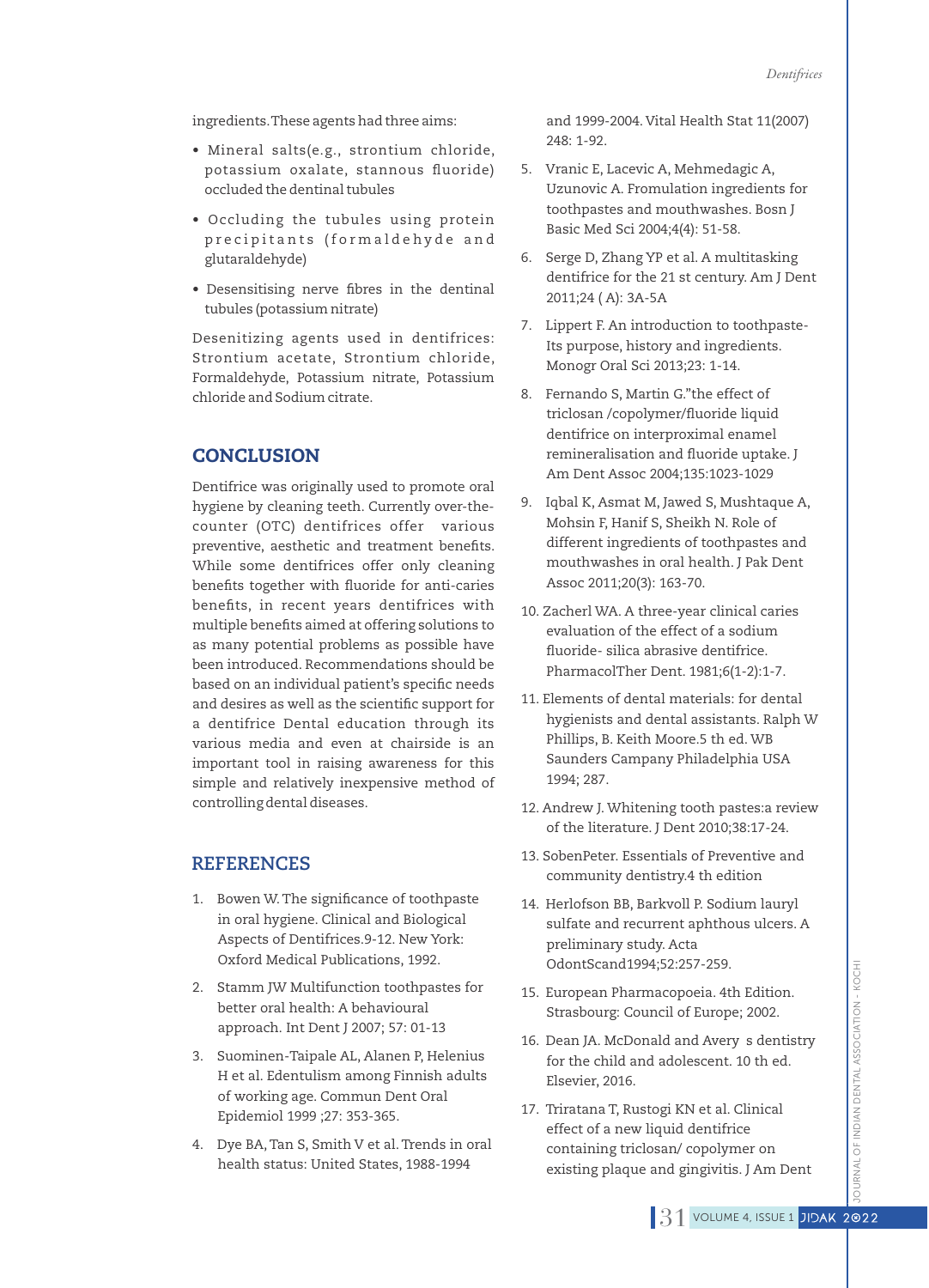ingredients.These agents had three aims:

- Mineral salts(e.g., strontium chloride, potassium oxalate, stannous fluoride) occluded the dentinal tubules
- Occluding the tubules using protein precipitants (formaldehyde and glutaraldehyde)
- Desensitising nerve fibres in the dentinal tubules (potassium nitrate)

Desenitizing agents used in dentifrices: Strontium acetate, Strontium chloride, Formaldehyde, Potassium nitrate, Potassium chloride and Sodium citrate.

# **CONCLUSION**

Dentifrice was originally used to promote oral hygiene by cleaning teeth. Currently over-thecounter (OTC) dentifrices offer various preventive, aesthetic and treatment benefits. While some dentifrices offer only cleaning benefits together with fluoride for anti-caries benefits, in recent years dentifrices with multiple benefits aimed at offering solutions to as many potential problems as possible have been introduced. Recommendations should be based on an individual patient's specific needs and desires as well as the scientific support for a dentifrice Dental education through its various media and even at chairside is an important tool in raising awareness for this simple and relatively inexpensive method of controlling dental diseases.

# **REFERENCES**

- 1. Bowen W. The significance of toothpaste in oral hygiene. Clinical and Biological Aspects of Dentifrices.9-12. New York: Oxford Medical Publications, 1992.
- 2. Stamm JW Multifunction toothpastes for better oral health: A behavioural approach. Int Dent J 2007; 57: 01-13
- 3. Suominen-Taipale AL, Alanen P, Helenius H et al. Edentulism among Finnish adults of working age. Commun Dent Oral Epidemiol 1999 ;27: 353-365.
- 4. Dye BA, Tan S, Smith V et al.Trends in oral health status: United States, 1988-1994

and 1999-2004. Vital Health Stat 11(2007) 248: 1-92.

- 5. Vranic E, Lacevic A, Mehmedagic A, Uzunovic A. Fromulation ingredients for toothpastes and mouthwashes. Bosn J Basic Med Sci 2004;4(4): 51-58.
- 6. Serge D, Zhang YP et al. A multitasking dentifrice for the 21 st century. Am J Dent 2011;24 ( A): 3A-5A
- 7. Lippert F. An introduction to toothpaste-Its purpose, history and ingredients. Monogr Oral Sci 2013;23: 1-14.
- 8. Fernando S, Martin G."the effect of triclosan /copolymer/fluoride liquid dentifrice on interproximal enamel remineralisation and fluoride uptake. J Am Dent Assoc 2004;135:1023-1029
- 9. Iqbal K, Asmat M, Jawed S, Mushtaque A, Mohsin F, Hanif S, Sheikh N. Role of different ingredients of toothpastes and mouthwashes in oral health. J Pak Dent Assoc 2011;20(3): 163-70.
- 10. Zacherl WA. A three-year clinical caries evaluation of the effect of a sodium fluoride- silica abrasive dentifrice. PharmacolTher Dent. 1981;6(1-2):1-7.
- 11. Elements of dental materials: for dental hygienists and dental assistants. Ralph W Phillips, B. Keith Moore.5 th ed. WB Saunders Campany Philadelphia USA 1994; 287.
- 12. Andrew J. Whitening tooth pastes:a review of the literature. J Dent 2010;38:17-24.
- 13. SobenPeter. Essentials of Preventive and community dentistry.4 th edition
- 14. Herlofson BB, Barkvoll P. Sodium lauryl sulfate and recurrent aphthous ulcers. A preliminary study. Acta OdontScand1994;52:257-259.
- 15. European Pharmacopoeia. 4th Edition. Strasbourg: Council of Europe; 2002.
- 16. Dean JA. McDonald and Avery s dentistry for the child and adolescent. 10 th ed. Elsevier, 2016.
- 17. Triratana T, Rustogi KN et al. Clinical effect of a new liquid dentifrice containing triclosan/ copolymer on existing plaque and gingivitis. J Am Dent

JRNAL OF INDIAN DENTAL ASSOCIATION - KOCHI JOURNAL OF INDIAN DENTAL ASSOCIATION - KOCHI